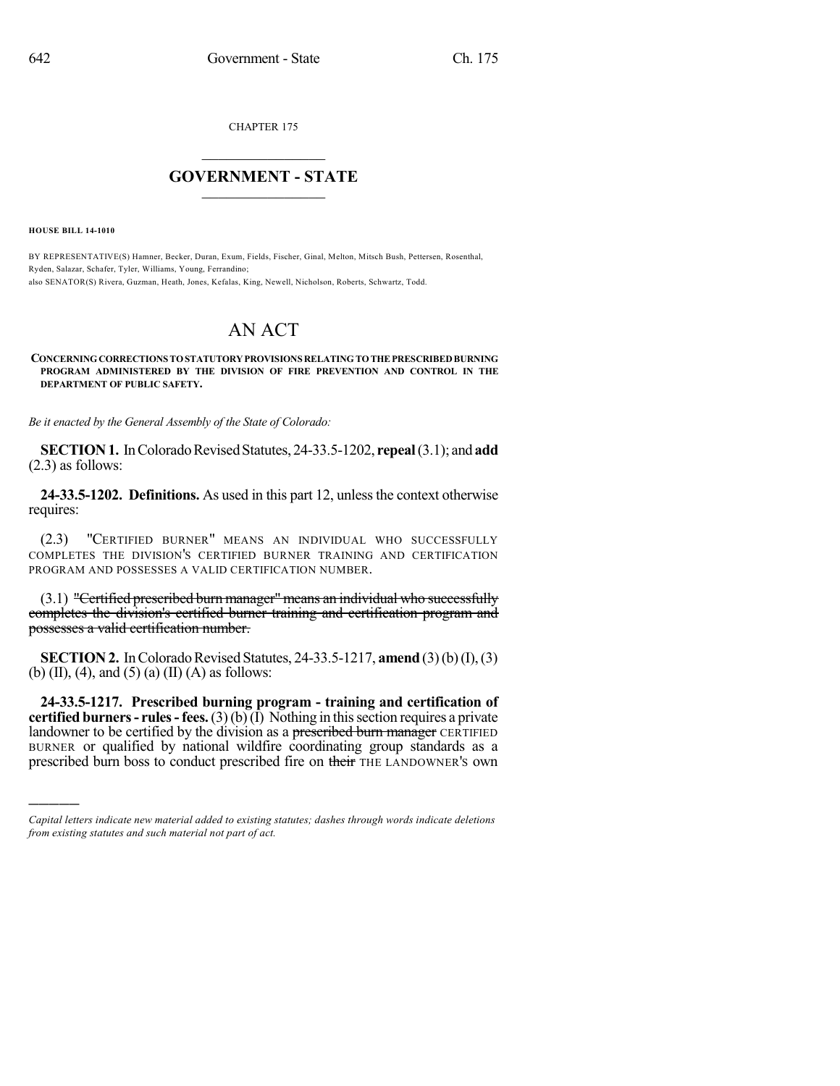CHAPTER 175

## $\overline{\phantom{a}}$  . The set of the set of the set of the set of the set of the set of the set of the set of the set of the set of the set of the set of the set of the set of the set of the set of the set of the set of the set o **GOVERNMENT - STATE**  $\_$

**HOUSE BILL 14-1010**

)))))

BY REPRESENTATIVE(S) Hamner, Becker, Duran, Exum, Fields, Fischer, Ginal, Melton, Mitsch Bush, Pettersen, Rosenthal, Ryden, Salazar, Schafer, Tyler, Williams, Young, Ferrandino; also SENATOR(S) Rivera, Guzman, Heath, Jones, Kefalas, King, Newell, Nicholson, Roberts, Schwartz, Todd.

## AN ACT

**CONCERNINGCORRECTIONS TOSTATUTORYPROVISIONS RELATINGTOTHEPRESCRIBEDBURNING PROGRAM ADMINISTERED BY THE DIVISION OF FIRE PREVENTION AND CONTROL IN THE DEPARTMENT OF PUBLIC SAFETY.**

*Be it enacted by the General Assembly of the State of Colorado:*

**SECTION 1.** In Colorado Revised Statutes, 24-33.5-1202, **repeal** (3.1); and **add** (2.3) as follows:

**24-33.5-1202. Definitions.** As used in this part 12, unlessthe context otherwise requires:

(2.3) "CERTIFIED BURNER" MEANS AN INDIVIDUAL WHO SUCCESSFULLY COMPLETES THE DIVISION'S CERTIFIED BURNER TRAINING AND CERTIFICATION PROGRAM AND POSSESSES A VALID CERTIFICATION NUMBER.

(3.1) "Certified prescribed burn manager" means an individual who successfully completes the division's certified burner training and certification program and possesses a valid certification number.

**SECTION 2.** In Colorado Revised Statutes, 24-33.5-1217, **amend** (3)(b)(I), (3) (b) (II), (4), and (5) (a) (II) (A) as follows:

**24-33.5-1217. Prescribed burning program - training and certification of certified burners - rules - fees.** (3)(b)(I) Nothing in this section requires a private landowner to be certified by the division as a prescribed burn manager CERTIFIED BURNER or qualified by national wildfire coordinating group standards as a prescribed burn boss to conduct prescribed fire on their THE LANDOWNER'S own

*Capital letters indicate new material added to existing statutes; dashes through words indicate deletions from existing statutes and such material not part of act.*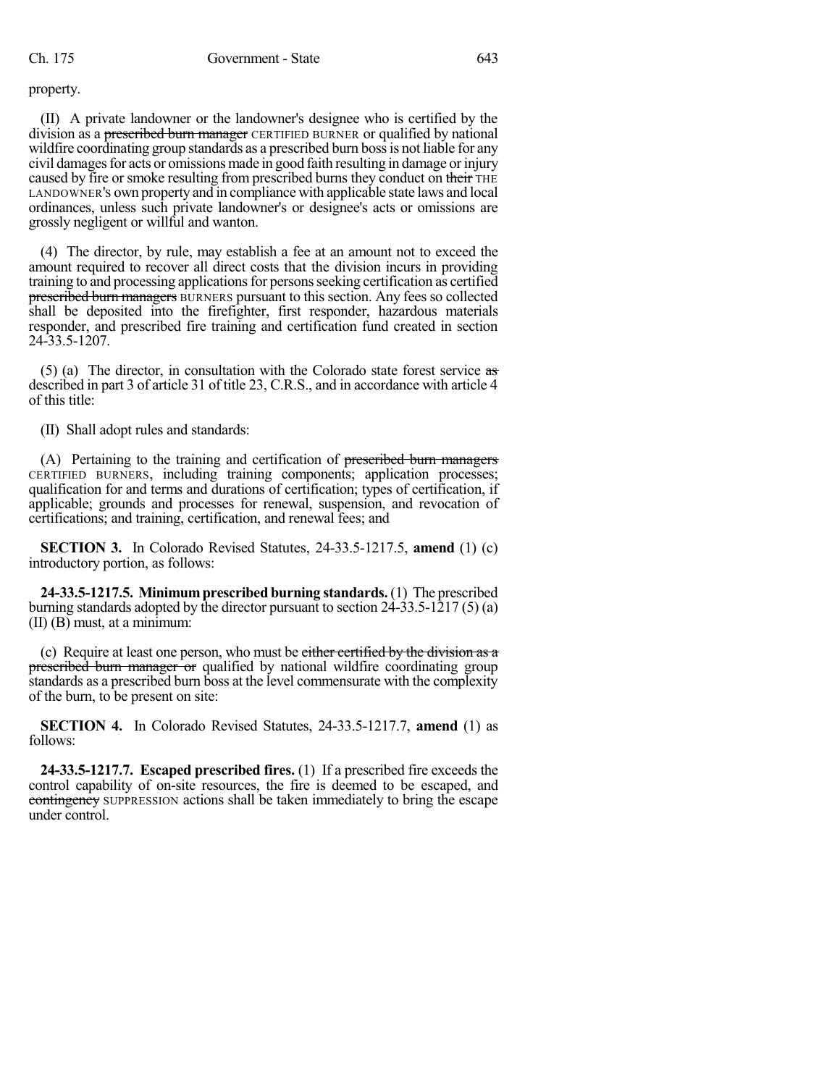## property.

(II) A private landowner or the landowner's designee who is certified by the division as a prescribed burn manager CERTIFIED BURNER or qualified by national wildfire coordinating group standards as a prescribed burn boss is not liable for any civil damages for acts or omissions made in good faith resulting in damage or injury caused by fire or smoke resulting from prescribed burns they conduct on their THE LANDOWNER'S own property and in compliance with applicable state laws and local ordinances, unless such private landowner's or designee's acts or omissions are grossly negligent or willful and wanton.

(4) The director, by rule, may establish a fee at an amount not to exceed the amount required to recover all direct costs that the division incurs in providing training to and processing applicationsfor personsseeking certification as certified prescribed burn managers BURNERS pursuant to this section. Any fees so collected shall be deposited into the firefighter, first responder, hazardous materials responder, and prescribed fire training and certification fund created in section 24-33.5-1207.

(5) (a) The director, in consultation with the Colorado state forest service as described in part 3 of article 31 of title 23, C.R.S., and in accordance with article 4 of this title:

(II) Shall adopt rules and standards:

(A) Pertaining to the training and certification of prescribed burn managers CERTIFIED BURNERS, including training components; application processes; qualification for and terms and durations of certification; types of certification, if applicable; grounds and processes for renewal, suspension, and revocation of certifications; and training, certification, and renewal fees; and

**SECTION 3.** In Colorado Revised Statutes, 24-33.5-1217.5, **amend** (1) (c) introductory portion, as follows:

**24-33.5-1217.5. Minimumprescribed burning standards.** (1) The prescribed burning standards adopted by the director pursuant to section 24-33.5-1217 (5) (a) (II) (B) must, at a minimum:

(c) Require at least one person, who must be either certified by the division as a prescribed burn manager or qualified by national wildfire coordinating group standards as a prescribed burn boss at the level commensurate with the complexity of the burn, to be present on site:

**SECTION 4.** In Colorado Revised Statutes, 24-33.5-1217.7, **amend** (1) as follows:

**24-33.5-1217.7. Escaped prescribed fires.** (1) If a prescribed fire exceeds the control capability of on-site resources, the fire is deemed to be escaped, and contingency SUPPRESSION actions shall be taken immediately to bring the escape under control.